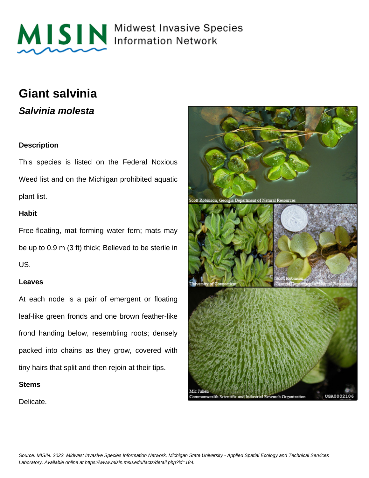

MISIN Midwest Invasive Species

# **Giant salvinia**

**Salvinia molesta**

# **Description**

This species is listed on the Federal Noxious Weed list and on the Michigan prohibited aquatic plant list.

## **Habit**

Free-floating, mat forming water fern; mats may be up to 0.9 m (3 ft) thick; Believed to be sterile in US.

### **Leaves**

At each node is a pair of emergent or floating leaf-like green fronds and one brown feather-like frond handing below, resembling roots; densely packed into chains as they grow, covered with tiny hairs that split and then rejoin at their tips.

### **Stems**

Delicate.